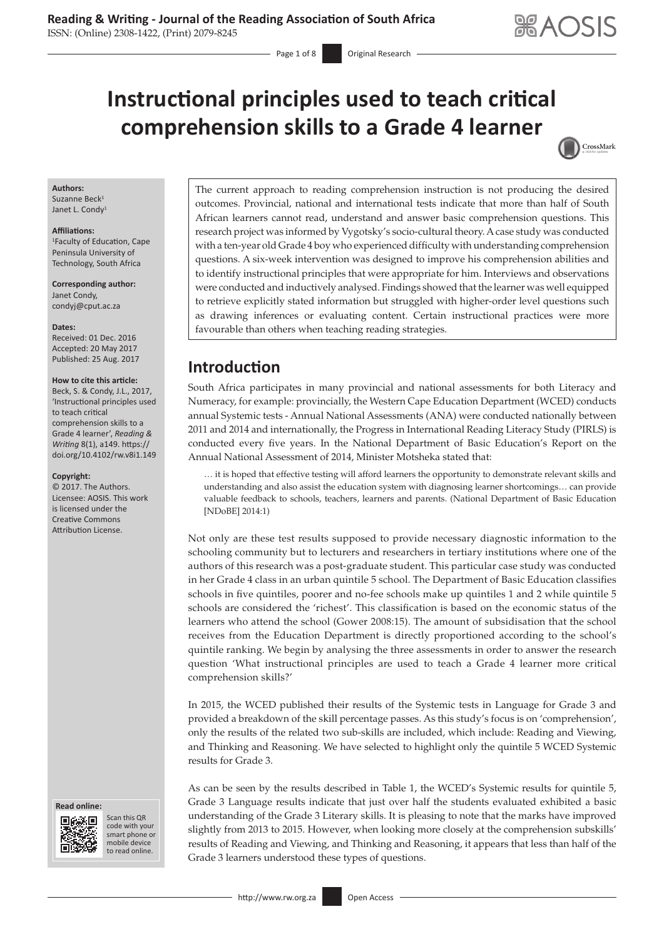# **Instructional principles used to teach critical comprehension skills to a Grade 4 learner**



#### **Authors:**

Suzanne Beck<sup>1</sup> Janet L. Condy<sup>1</sup>

#### **Affiliations:**

1 Faculty of Education, Cape Peninsula University of Technology, South Africa

**Corresponding author:** Janet Condy, [condyj@cput.ac.za](mailto:condyj@cput.ac.za)

#### **Dates:**

Received: 01 Dec. 2016 Accepted: 20 May 2017 Published: 25 Aug. 2017

#### **How to cite this article:**

Beck, S. & Condy, J.L., 2017, 'Instructional principles used to teach critical comprehension skills to a Grade 4 learner', *Reading & Writing* 8(1), a149. [https://](https://doi.org/10.4102/rw.v8i1.149) [doi.org/10.4102/rw.v8i1.149](https://doi.org/10.4102/rw.v8i1.149)

#### **Copyright:**

© 2017. The Authors. Licensee: AOSIS. This work is licensed under the Creative Commons Attribution License.

#### **Read online: Read**



Scan this QR code with your Scan this QR<br>code with your<br>smart phone or<br>mobile device mobile device to read online. to read online.

The current approach to reading comprehension instruction is not producing the desired outcomes. Provincial, national and international tests indicate that more than half of South African learners cannot read, understand and answer basic comprehension questions. This research project was informed by Vygotsky's socio-cultural theory. A case study was conducted with a ten-year old Grade 4 boy who experienced difficulty with understanding comprehension questions. A six-week intervention was designed to improve his comprehension abilities and to identify instructional principles that were appropriate for him. Interviews and observations were conducted and inductively analysed. Findings showed that the learner was well equipped to retrieve explicitly stated information but struggled with higher-order level questions such as drawing inferences or evaluating content. Certain instructional practices were more favourable than others when teaching reading strategies.

# **Introduction**

South Africa participates in many provincial and national assessments for both Literacy and Numeracy, for example: provincially, the Western Cape Education Department (WCED) conducts annual Systemic tests - Annual National Assessments (ANA) were conducted nationally between 2011 and 2014 and internationally, the Progress in International Reading Literacy Study (PIRLS) is conducted every five years. In the National Department of Basic Education's Report on the Annual National Assessment of 2014, Minister Motsheka stated that:

… it is hoped that effective testing will afford learners the opportunity to demonstrate relevant skills and understanding and also assist the education system with diagnosing learner shortcomings… can provide valuable feedback to schools, teachers, learners and parents. (National Department of Basic Education [NDoBE] 2014:1)

Not only are these test results supposed to provide necessary diagnostic information to the schooling community but to lecturers and researchers in tertiary institutions where one of the authors of this research was a post-graduate student. This particular case study was conducted in her Grade 4 class in an urban quintile 5 school. The Department of Basic Education classifies schools in five quintiles, poorer and no-fee schools make up quintiles 1 and 2 while quintile 5 schools are considered the 'richest'. This classification is based on the economic status of the learners who attend the school (Gower 2008:15). The amount of subsidisation that the school receives from the Education Department is directly proportioned according to the school's quintile ranking. We begin by analysing the three assessments in order to answer the research question 'What instructional principles are used to teach a Grade 4 learner more critical comprehension skills?'

In 2015, the WCED published their results of the Systemic tests in Language for Grade 3 and provided a breakdown of the skill percentage passes. As this study's focus is on 'comprehension', only the results of the related two sub-skills are included, which include: Reading and Viewing, and Thinking and Reasoning. We have selected to highlight only the quintile 5 WCED Systemic results for Grade 3.

As can be seen by the results described in Table 1, the WCED's Systemic results for quintile 5, Grade 3 Language results indicate that just over half the students evaluated exhibited a basic understanding of the Grade 3 Literary skills. It is pleasing to note that the marks have improved slightly from 2013 to 2015. However, when looking more closely at the comprehension subskills' results of Reading and Viewing, and Thinking and Reasoning, it appears that less than half of the Grade 3 learners understood these types of questions.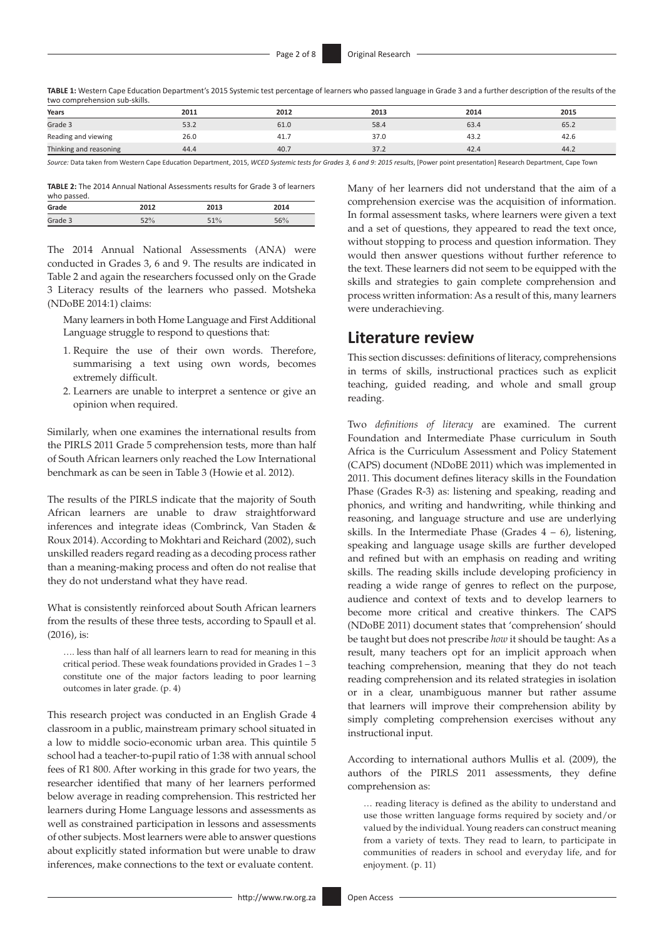**TABLE 1:** Western Cape Education Department's 2015 Systemic test percentage of learners who passed language in Grade 3 and a further description of the results of the two comprehension sub-skills.

| 58.4<br>53.2<br>61.0<br>63.4<br>65.2 |
|--------------------------------------|
| 26.0<br>37.0<br>42.6<br>41.<br>43.∠  |
| 44.4<br>40.7<br>44.2<br>42.4<br>31.Z |
|                                      |

*Source:* Data taken from Western Cape Education Department, 2015, *WCED Systemic tests for Grades 3, 6 and 9: 2015 results*, [Power point presentation] Research Department, Cape Town

**TABLE 2:** The 2014 Annual National Assessments results for Grade 3 of learners

| 2012 | 2013 | 2014 |  |  |
|------|------|------|--|--|
| 52%  | 51%  | 56%  |  |  |
|      |      |      |  |  |

The 2014 Annual National Assessments (ANA) were conducted in Grades 3, 6 and 9. The results are indicated in Table 2 and again the researchers focussed only on the Grade 3 Literacy results of the learners who passed. Motsheka (NDoBE 2014:1) claims:

Many learners in both Home Language and First Additional Language struggle to respond to questions that:

- 1. Require the use of their own words. Therefore, summarising a text using own words, becomes extremely difficult.
- 2. Learners are unable to interpret a sentence or give an opinion when required.

Similarly, when one examines the international results from the PIRLS 2011 Grade 5 comprehension tests, more than half of South African learners only reached the Low International benchmark as can be seen in Table 3 (Howie et al. 2012).

The results of the PIRLS indicate that the majority of South African learners are unable to draw straightforward inferences and integrate ideas (Combrinck, Van Staden & Roux 2014). According to Mokhtari and Reichard (2002), such unskilled readers regard reading as a decoding process rather than a meaning-making process and often do not realise that they do not understand what they have read.

What is consistently reinforced about South African learners from the results of these three tests, according to Spaull et al. (2016), is:

…. less than half of all learners learn to read for meaning in this critical period. These weak foundations provided in Grades 1 – 3 constitute one of the major factors leading to poor learning outcomes in later grade. (p. 4)

This research project was conducted in an English Grade 4 classroom in a public, mainstream primary school situated in a low to middle socio-economic urban area. This quintile 5 school had a teacher-to-pupil ratio of 1:38 with annual school fees of R1 800. After working in this grade for two years, the researcher identified that many of her learners performed below average in reading comprehension. This restricted her learners during Home Language lessons and assessments as well as constrained participation in lessons and assessments of other subjects. Most learners were able to answer questions about explicitly stated information but were unable to draw inferences, make connections to the text or evaluate content.

Many of her learners did not understand that the aim of a comprehension exercise was the acquisition of information. In formal assessment tasks, where learners were given a text and a set of questions, they appeared to read the text once, without stopping to process and question information. They would then answer questions without further reference to the text. These learners did not seem to be equipped with the skills and strategies to gain complete comprehension and process written information: As a result of this, many learners were underachieving.

# **Literature review**

This section discusses: definitions of literacy, comprehensions in terms of skills, instructional practices such as explicit teaching, guided reading, and whole and small group reading.

Two *definitions of literacy* are examined. The current Foundation and Intermediate Phase curriculum in South Africa is the Curriculum Assessment and Policy Statement (CAPS) document (NDoBE 2011) which was implemented in 2011. This document defines literacy skills in the Foundation Phase (Grades R-3) as: listening and speaking, reading and phonics, and writing and handwriting, while thinking and reasoning, and language structure and use are underlying skills. In the Intermediate Phase (Grades  $4 - 6$ ), listening, speaking and language usage skills are further developed and refined but with an emphasis on reading and writing skills. The reading skills include developing proficiency in reading a wide range of genres to reflect on the purpose, audience and context of texts and to develop learners to become more critical and creative thinkers. The CAPS (NDoBE 2011) document states that 'comprehension' should be taught but does not prescribe *how* it should be taught: As a result, many teachers opt for an implicit approach when teaching comprehension, meaning that they do not teach reading comprehension and its related strategies in isolation or in a clear, unambiguous manner but rather assume that learners will improve their comprehension ability by simply completing comprehension exercises without any instructional input.

According to international authors Mullis et al. (2009), the authors of the PIRLS 2011 assessments, they define comprehension as:

… reading literacy is defined as the ability to understand and use those written language forms required by society and/or valued by the individual. Young readers can construct meaning from a variety of texts. They read to learn, to participate in communities of readers in school and everyday life, and for enjoyment. (p. 11)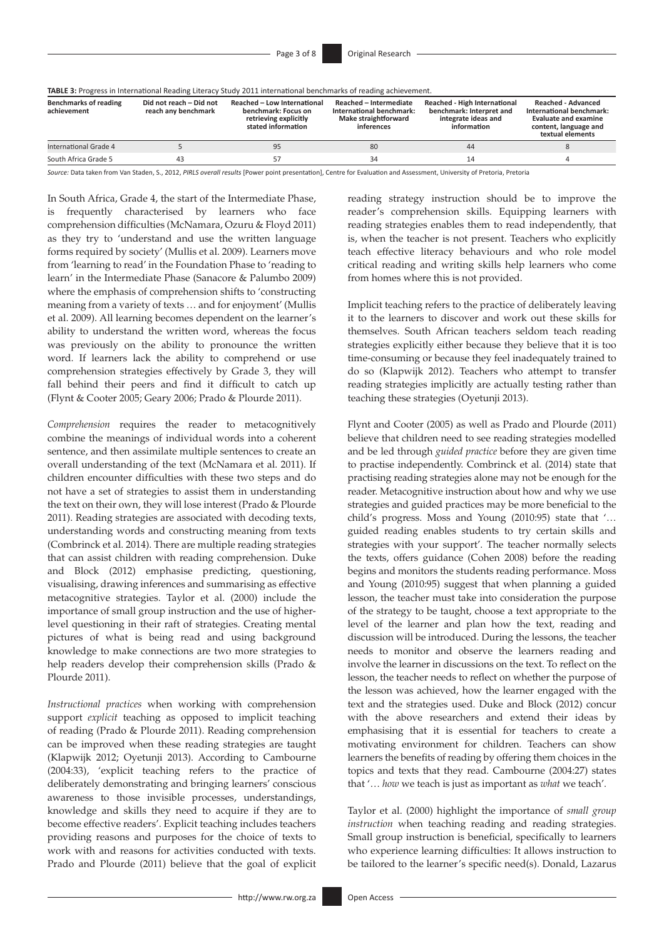**TABLE 3:** Progress in International Reading Literacy Study 2011 international benchmarks of reading achievement.

| <b>Benchmarks of reading</b><br>achievement | Did not reach - Did not<br>reach any benchmark | Reached - Low International<br>benchmark: Focus on<br>retrieving explicitly<br>stated information | Reached - Intermediate<br>International benchmark:<br>Make straightforward<br>inferences | Reached - High International<br>benchmark: Interpret and<br>integrate ideas and<br>information | <b>Reached - Advanced</b><br>International benchmark:<br><b>Evaluate and examine</b><br>content, language and<br>textual elements |
|---------------------------------------------|------------------------------------------------|---------------------------------------------------------------------------------------------------|------------------------------------------------------------------------------------------|------------------------------------------------------------------------------------------------|-----------------------------------------------------------------------------------------------------------------------------------|
| International Grade 4                       |                                                | 95                                                                                                | 80                                                                                       | 44                                                                                             |                                                                                                                                   |
| South Africa Grade 5                        | 43                                             | 57                                                                                                | 34                                                                                       | 14                                                                                             |                                                                                                                                   |

*Source:* Data taken from Van Staden, S., 2012, *PIRLS overall results* [Power point presentation], Centre for Evaluation and Assessment, University of Pretoria, Pretoria

In South Africa, Grade 4, the start of the Intermediate Phase, is frequently characterised by learners who face comprehension difficulties (McNamara, Ozuru & Floyd 2011) as they try to 'understand and use the written language forms required by society' (Mullis et al. 2009). Learners move from 'learning to read' in the Foundation Phase to 'reading to learn' in the Intermediate Phase (Sanacore & Palumbo 2009) where the emphasis of comprehension shifts to 'constructing meaning from a variety of texts … and for enjoyment' (Mullis et al. 2009). All learning becomes dependent on the learner's ability to understand the written word, whereas the focus was previously on the ability to pronounce the written word. If learners lack the ability to comprehend or use comprehension strategies effectively by Grade 3, they will fall behind their peers and find it difficult to catch up (Flynt & Cooter 2005; Geary 2006; Prado & Plourde 2011).

*Comprehension* requires the reader to metacognitively combine the meanings of individual words into a coherent sentence, and then assimilate multiple sentences to create an overall understanding of the text (McNamara et al. 2011). If children encounter difficulties with these two steps and do not have a set of strategies to assist them in understanding the text on their own, they will lose interest (Prado & Plourde 2011). Reading strategies are associated with decoding texts, understanding words and constructing meaning from texts (Combrinck et al. 2014). There are multiple reading strategies that can assist children with reading comprehension. Duke and Block (2012) emphasise predicting, questioning, visualising, drawing inferences and summarising as effective metacognitive strategies. Taylor et al. (2000) include the importance of small group instruction and the use of higherlevel questioning in their raft of strategies. Creating mental pictures of what is being read and using background knowledge to make connections are two more strategies to help readers develop their comprehension skills (Prado & Plourde 2011).

*Instructional practices* when working with comprehension support *explicit* teaching as opposed to implicit teaching of reading (Prado & Plourde 2011). Reading comprehension can be improved when these reading strategies are taught (Klapwijk 2012; Oyetunji 2013). According to Cambourne (2004:33), 'explicit teaching refers to the practice of deliberately demonstrating and bringing learners' conscious awareness to those invisible processes, understandings, knowledge and skills they need to acquire if they are to become effective readers'. Explicit teaching includes teachers providing reasons and purposes for the choice of texts to work with and reasons for activities conducted with texts. Prado and Plourde (2011) believe that the goal of explicit

reading strategy instruction should be to improve the reader's comprehension skills. Equipping learners with reading strategies enables them to read independently, that is, when the teacher is not present. Teachers who explicitly teach effective literacy behaviours and who role model critical reading and writing skills help learners who come from homes where this is not provided.

Implicit teaching refers to the practice of deliberately leaving it to the learners to discover and work out these skills for themselves. South African teachers seldom teach reading strategies explicitly either because they believe that it is too time-consuming or because they feel inadequately trained to do so (Klapwijk 2012). Teachers who attempt to transfer reading strategies implicitly are actually testing rather than teaching these strategies (Oyetunji 2013).

Flynt and Cooter (2005) as well as Prado and Plourde (2011) believe that children need to see reading strategies modelled and be led through *guided practice* before they are given time to practise independently. Combrinck et al. (2014) state that practising reading strategies alone may not be enough for the reader. Metacognitive instruction about how and why we use strategies and guided practices may be more beneficial to the child's progress. Moss and Young (2010:95) state that '… guided reading enables students to try certain skills and strategies with your support'. The teacher normally selects the texts, offers guidance (Cohen 2008) before the reading begins and monitors the students reading performance. Moss and Young (2010:95) suggest that when planning a guided lesson, the teacher must take into consideration the purpose of the strategy to be taught, choose a text appropriate to the level of the learner and plan how the text, reading and discussion will be introduced. During the lessons, the teacher needs to monitor and observe the learners reading and involve the learner in discussions on the text. To reflect on the lesson, the teacher needs to reflect on whether the purpose of the lesson was achieved, how the learner engaged with the text and the strategies used. Duke and Block (2012) concur with the above researchers and extend their ideas by emphasising that it is essential for teachers to create a motivating environment for children. Teachers can show learners the benefits of reading by offering them choices in the topics and texts that they read. Cambourne (2004:27) states that '… *how* we teach is just as important as *what* we teach'.

Taylor et al. (2000) highlight the importance of *small group instruction* when teaching reading and reading strategies. Small group instruction is beneficial, specifically to learners who experience learning difficulties: It allows instruction to be tailored to the learner's specific need(s). Donald, Lazarus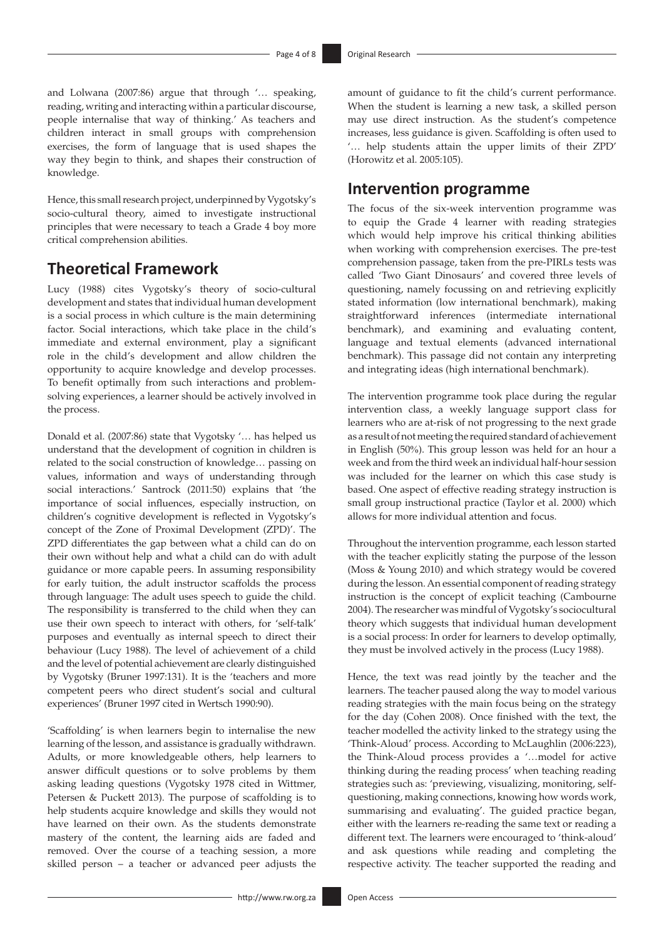and Lolwana (2007:86) argue that through '… speaking, reading, writing and interacting within a particular discourse, people internalise that way of thinking.' As teachers and children interact in small groups with comprehension exercises, the form of language that is used shapes the way they begin to think, and shapes their construction of knowledge.

Hence, this small research project, underpinned by Vygotsky's socio-cultural theory, aimed to investigate instructional principles that were necessary to teach a Grade 4 boy more critical comprehension abilities.

# **Theoretical Framework**

Lucy (1988) cites Vygotsky's theory of socio-cultural development and states that individual human development is a social process in which culture is the main determining factor. Social interactions, which take place in the child's immediate and external environment, play a significant role in the child's development and allow children the opportunity to acquire knowledge and develop processes. To benefit optimally from such interactions and problemsolving experiences, a learner should be actively involved in the process.

Donald et al. (2007:86) state that Vygotsky '… has helped us understand that the development of cognition in children is related to the social construction of knowledge… passing on values, information and ways of understanding through social interactions.' Santrock (2011:50) explains that 'the importance of social influences, especially instruction, on children's cognitive development is reflected in Vygotsky's concept of the Zone of Proximal Development (ZPD)'. The ZPD differentiates the gap between what a child can do on their own without help and what a child can do with adult guidance or more capable peers. In assuming responsibility for early tuition, the adult instructor scaffolds the process through language: The adult uses speech to guide the child. The responsibility is transferred to the child when they can use their own speech to interact with others, for 'self-talk' purposes and eventually as internal speech to direct their behaviour (Lucy 1988). The level of achievement of a child and the level of potential achievement are clearly distinguished by Vygotsky (Bruner 1997:131). It is the 'teachers and more competent peers who direct student's social and cultural experiences' (Bruner 1997 cited in Wertsch 1990:90).

'Scaffolding' is when learners begin to internalise the new learning of the lesson, and assistance is gradually withdrawn. Adults, or more knowledgeable others, help learners to answer difficult questions or to solve problems by them asking leading questions (Vygotsky 1978 cited in Wittmer, Petersen & Puckett 2013). The purpose of scaffolding is to help students acquire knowledge and skills they would not have learned on their own. As the students demonstrate mastery of the content, the learning aids are faded and removed. Over the course of a teaching session, a more skilled person – a teacher or advanced peer adjusts the

amount of guidance to fit the child's current performance. When the student is learning a new task, a skilled person may use direct instruction. As the student's competence increases, less guidance is given. Scaffolding is often used to '… help students attain the upper limits of their ZPD' (Horowitz et al. 2005:105).

### **Intervention programme**

The focus of the six-week intervention programme was to equip the Grade 4 learner with reading strategies which would help improve his critical thinking abilities when working with comprehension exercises. The pre-test comprehension passage, taken from the pre-PIRLs tests was called 'Two Giant Dinosaurs' and covered three levels of questioning, namely focussing on and retrieving explicitly stated information (low international benchmark), making straightforward inferences (intermediate international benchmark), and examining and evaluating content, language and textual elements (advanced international benchmark). This passage did not contain any interpreting and integrating ideas (high international benchmark).

The intervention programme took place during the regular intervention class, a weekly language support class for learners who are at-risk of not progressing to the next grade as a result of not meeting the required standard of achievement in English (50%). This group lesson was held for an hour a week and from the third week an individual half-hour session was included for the learner on which this case study is based. One aspect of effective reading strategy instruction is small group instructional practice (Taylor et al. 2000) which allows for more individual attention and focus.

Throughout the intervention programme, each lesson started with the teacher explicitly stating the purpose of the lesson (Moss & Young 2010) and which strategy would be covered during the lesson. An essential component of reading strategy instruction is the concept of explicit teaching (Cambourne 2004). The researcher was mindful of Vygotsky's sociocultural theory which suggests that individual human development is a social process: In order for learners to develop optimally, they must be involved actively in the process (Lucy 1988).

Hence, the text was read jointly by the teacher and the learners. The teacher paused along the way to model various reading strategies with the main focus being on the strategy for the day (Cohen 2008). Once finished with the text, the teacher modelled the activity linked to the strategy using the 'Think-Aloud' process. According to McLaughlin (2006:223), the Think-Aloud process provides a '…model for active thinking during the reading process' when teaching reading strategies such as: 'previewing, visualizing, monitoring, selfquestioning, making connections, knowing how words work, summarising and evaluating'. The guided practice began, either with the learners re-reading the same text or reading a different text. The learners were encouraged to 'think-aloud' and ask questions while reading and completing the respective activity. The teacher supported the reading and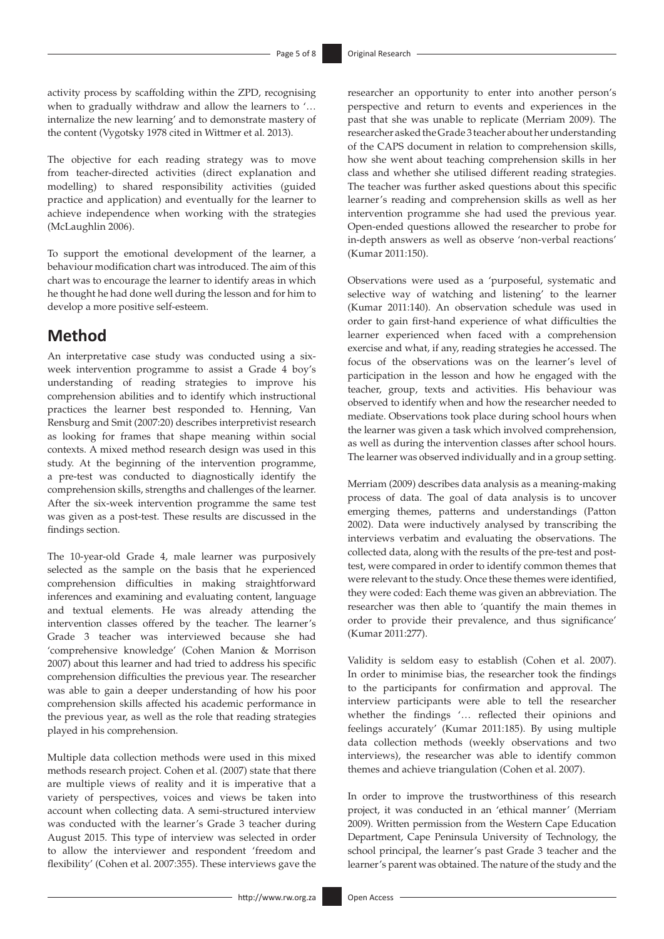activity process by scaffolding within the ZPD, recognising when to gradually withdraw and allow the learners to '… internalize the new learning' and to demonstrate mastery of the content (Vygotsky 1978 cited in Wittmer et al. 2013).

The objective for each reading strategy was to move from teacher-directed activities (direct explanation and modelling) to shared responsibility activities (guided practice and application) and eventually for the learner to achieve independence when working with the strategies (McLaughlin 2006).

To support the emotional development of the learner, a behaviour modification chart was introduced. The aim of this chart was to encourage the learner to identify areas in which he thought he had done well during the lesson and for him to develop a more positive self-esteem.

# **Method**

An interpretative case study was conducted using a sixweek intervention programme to assist a Grade 4 boy's understanding of reading strategies to improve his comprehension abilities and to identify which instructional practices the learner best responded to. Henning, Van Rensburg and Smit (2007:20) describes interpretivist research as looking for frames that shape meaning within social contexts. A mixed method research design was used in this study. At the beginning of the intervention programme, a pre-test was conducted to diagnostically identify the comprehension skills, strengths and challenges of the learner. After the six-week intervention programme the same test was given as a post-test. These results are discussed in the findings section.

The 10-year-old Grade 4, male learner was purposively selected as the sample on the basis that he experienced comprehension difficulties in making straightforward inferences and examining and evaluating content, language and textual elements. He was already attending the intervention classes offered by the teacher. The learner's Grade 3 teacher was interviewed because she had 'comprehensive knowledge' (Cohen Manion & Morrison 2007) about this learner and had tried to address his specific comprehension difficulties the previous year. The researcher was able to gain a deeper understanding of how his poor comprehension skills affected his academic performance in the previous year, as well as the role that reading strategies played in his comprehension.

Multiple data collection methods were used in this mixed methods research project. Cohen et al. (2007) state that there are multiple views of reality and it is imperative that a variety of perspectives, voices and views be taken into account when collecting data. A semi-structured interview was conducted with the learner's Grade 3 teacher during August 2015. This type of interview was selected in order to allow the interviewer and respondent 'freedom and flexibility' (Cohen et al. 2007:355). These interviews gave the

researcher an opportunity to enter into another person's perspective and return to events and experiences in the past that she was unable to replicate (Merriam 2009). The researcher asked the Grade 3 teacher about her understanding of the CAPS document in relation to comprehension skills, how she went about teaching comprehension skills in her class and whether she utilised different reading strategies. The teacher was further asked questions about this specific learner's reading and comprehension skills as well as her intervention programme she had used the previous year. Open-ended questions allowed the researcher to probe for in-depth answers as well as observe 'non-verbal reactions' (Kumar 2011:150).

Observations were used as a 'purposeful, systematic and selective way of watching and listening' to the learner (Kumar 2011:140). An observation schedule was used in order to gain first-hand experience of what difficulties the learner experienced when faced with a comprehension exercise and what, if any, reading strategies he accessed. The focus of the observations was on the learner's level of participation in the lesson and how he engaged with the teacher, group, texts and activities. His behaviour was observed to identify when and how the researcher needed to mediate. Observations took place during school hours when the learner was given a task which involved comprehension, as well as during the intervention classes after school hours. The learner was observed individually and in a group setting.

Merriam (2009) describes data analysis as a meaning-making process of data. The goal of data analysis is to uncover emerging themes, patterns and understandings (Patton 2002). Data were inductively analysed by transcribing the interviews verbatim and evaluating the observations. The collected data, along with the results of the pre-test and posttest, were compared in order to identify common themes that were relevant to the study. Once these themes were identified, they were coded: Each theme was given an abbreviation. The researcher was then able to 'quantify the main themes in order to provide their prevalence, and thus significance' (Kumar 2011:277).

Validity is seldom easy to establish (Cohen et al. 2007). In order to minimise bias, the researcher took the findings to the participants for confirmation and approval. The interview participants were able to tell the researcher whether the findings '… reflected their opinions and feelings accurately' (Kumar 2011:185). By using multiple data collection methods (weekly observations and two interviews), the researcher was able to identify common themes and achieve triangulation (Cohen et al. 2007).

In order to improve the trustworthiness of this research project, it was conducted in an 'ethical manner' (Merriam 2009). Written permission from the Western Cape Education Department, Cape Peninsula University of Technology, the school principal, the learner's past Grade 3 teacher and the learner's parent was obtained. The nature of the study and the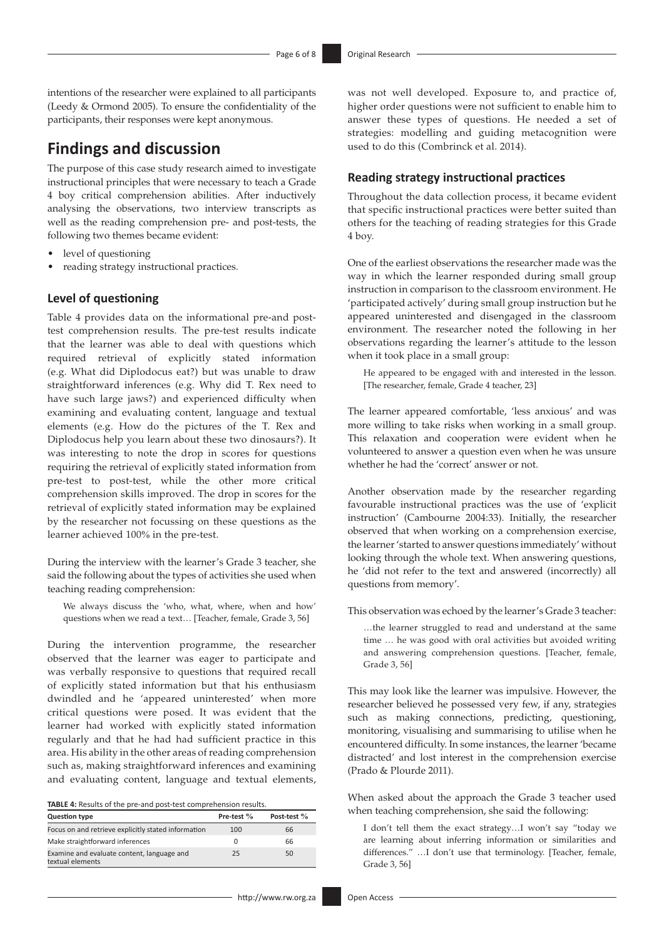intentions of the researcher were explained to all participants (Leedy & Ormond 2005). To ensure the confidentiality of the participants, their responses were kept anonymous.

# **Findings and discussion**

The purpose of this case study research aimed to investigate instructional principles that were necessary to teach a Grade 4 boy critical comprehension abilities. After inductively analysing the observations, two interview transcripts as well as the reading comprehension pre- and post-tests, the following two themes became evident:

- level of questioning
- reading strategy instructional practices.

#### **Level of questioning**

Table 4 provides data on the informational pre-and posttest comprehension results. The pre-test results indicate that the learner was able to deal with questions which required retrieval of explicitly stated information (e.g. What did Diplodocus eat?) but was unable to draw straightforward inferences (e.g. Why did T. Rex need to have such large jaws?) and experienced difficulty when examining and evaluating content, language and textual elements (e.g. How do the pictures of the T. Rex and Diplodocus help you learn about these two dinosaurs?). It was interesting to note the drop in scores for questions requiring the retrieval of explicitly stated information from pre-test to post-test, while the other more critical comprehension skills improved. The drop in scores for the retrieval of explicitly stated information may be explained by the researcher not focussing on these questions as the learner achieved 100% in the pre-test.

During the interview with the learner's Grade 3 teacher, she said the following about the types of activities she used when teaching reading comprehension:

We always discuss the 'who, what, where, when and how' questions when we read a text… [Teacher, female, Grade 3, 56]

During the intervention programme, the researcher observed that the learner was eager to participate and was verbally responsive to questions that required recall of explicitly stated information but that his enthusiasm dwindled and he 'appeared uninterested' when more critical questions were posed. It was evident that the learner had worked with explicitly stated information regularly and that he had had sufficient practice in this area. His ability in the other areas of reading comprehension such as, making straightforward inferences and examining and evaluating content, language and textual elements,

|  |  |  |  | TABLE 4: Results of the pre-and post-test comprehension results. |
|--|--|--|--|------------------------------------------------------------------|
|--|--|--|--|------------------------------------------------------------------|

| <b>Question type</b>                                           | Pre-test $%$ | Post-test % |
|----------------------------------------------------------------|--------------|-------------|
| Focus on and retrieve explicitly stated information            | 100          | 66          |
| Make straightforward inferences                                | <sup>0</sup> | 66          |
| Examine and evaluate content, language and<br>textual elements | 25           | 50          |

was not well developed. Exposure to, and practice of, higher order questions were not sufficient to enable him to answer these types of questions. He needed a set of strategies: modelling and guiding metacognition were used to do this (Combrinck et al. 2014).

#### **Reading strategy instructional practices**

Throughout the data collection process, it became evident that specific instructional practices were better suited than others for the teaching of reading strategies for this Grade 4 boy.

One of the earliest observations the researcher made was the way in which the learner responded during small group instruction in comparison to the classroom environment. He 'participated actively' during small group instruction but he appeared uninterested and disengaged in the classroom environment. The researcher noted the following in her observations regarding the learner's attitude to the lesson when it took place in a small group:

He appeared to be engaged with and interested in the lesson. [The researcher, female, Grade 4 teacher, 23]

The learner appeared comfortable, 'less anxious' and was more willing to take risks when working in a small group. This relaxation and cooperation were evident when he volunteered to answer a question even when he was unsure whether he had the 'correct' answer or not.

Another observation made by the researcher regarding favourable instructional practices was the use of 'explicit instruction' (Cambourne 2004:33). Initially, the researcher observed that when working on a comprehension exercise, the learner 'started to answer questions immediately' without looking through the whole text. When answering questions, he 'did not refer to the text and answered (incorrectly) all questions from memory'.

This observation was echoed by the learner's Grade 3 teacher:

…the learner struggled to read and understand at the same time … he was good with oral activities but avoided writing and answering comprehension questions. [Teacher, female, Grade 3, 56]

This may look like the learner was impulsive. However, the researcher believed he possessed very few, if any, strategies such as making connections, predicting, questioning, monitoring, visualising and summarising to utilise when he encountered difficulty. In some instances, the learner 'became distracted' and lost interest in the comprehension exercise (Prado & Plourde 2011).

When asked about the approach the Grade 3 teacher used when teaching comprehension, she said the following:

I don't tell them the exact strategy…I won't say "today we are learning about inferring information or similarities and differences." …I don't use that terminology. [Teacher, female, Grade 3, 56]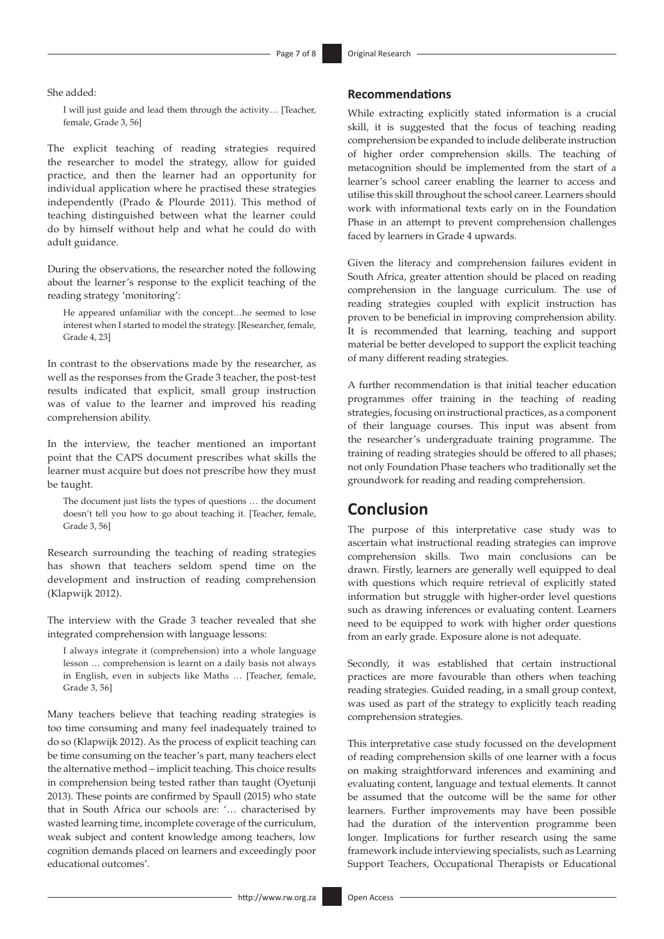She added:

I will just guide and lead them through the activity… [Teacher, female, Grade 3, 56]

The explicit teaching of reading strategies required the researcher to model the strategy, allow for guided practice, and then the learner had an opportunity for individual application where he practised these strategies independently (Prado & Plourde 2011). This method of teaching distinguished between what the learner could do by himself without help and what he could do with adult guidance.

During the observations, the researcher noted the following about the learner's response to the explicit teaching of the reading strategy 'monitoring':

He appeared unfamiliar with the concept…he seemed to lose interest when I started to model the strategy. [Researcher, female, Grade 4, 23]

In contrast to the observations made by the researcher, as well as the responses from the Grade 3 teacher, the post-test results indicated that explicit, small group instruction was of value to the learner and improved his reading comprehension ability.

In the interview, the teacher mentioned an important point that the CAPS document prescribes what skills the learner must acquire but does not prescribe how they must be taught.

The document just lists the types of questions … the document doesn't tell you how to go about teaching it. [Teacher, female, Grade 3, 56]

Research surrounding the teaching of reading strategies has shown that teachers seldom spend time on the development and instruction of reading comprehension (Klapwijk 2012).

The interview with the Grade 3 teacher revealed that she integrated comprehension with language lessons:

I always integrate it (comprehension) into a whole language lesson … comprehension is learnt on a daily basis not always in English, even in subjects like Maths … [Teacher, female, Grade 3, 56]

Many teachers believe that teaching reading strategies is too time consuming and many feel inadequately trained to do so (Klapwijk 2012). As the process of explicit teaching can be time consuming on the teacher's part, many teachers elect the alternative method – implicit teaching. This choice results in comprehension being tested rather than taught (Oyetunji 2013). These points are confirmed by Spaull (2015) who state that in South Africa our schools are: '… characterised by wasted learning time, incomplete coverage of the curriculum, weak subject and content knowledge among teachers, low cognition demands placed on learners and exceedingly poor educational outcomes'.

### **Recommendations**

While extracting explicitly stated information is a crucial skill, it is suggested that the focus of teaching reading comprehension be expanded to include deliberate instruction of higher order comprehension skills. The teaching of metacognition should be implemented from the start of a learner's school career enabling the learner to access and utilise this skill throughout the school career. Learners should work with informational texts early on in the Foundation Phase in an attempt to prevent comprehension challenges faced by learners in Grade 4 upwards.

Given the literacy and comprehension failures evident in South Africa, greater attention should be placed on reading comprehension in the language curriculum. The use of reading strategies coupled with explicit instruction has proven to be beneficial in improving comprehension ability. It is recommended that learning, teaching and support material be better developed to support the explicit teaching of many different reading strategies.

A further recommendation is that initial teacher education programmes offer training in the teaching of reading strategies, focusing on instructional practices, as a component of their language courses. This input was absent from the researcher's undergraduate training programme. The training of reading strategies should be offered to all phases; not only Foundation Phase teachers who traditionally set the groundwork for reading and reading comprehension.

# **Conclusion**

The purpose of this interpretative case study was to ascertain what instructional reading strategies can improve comprehension skills. Two main conclusions can be drawn. Firstly, learners are generally well equipped to deal with questions which require retrieval of explicitly stated information but struggle with higher-order level questions such as drawing inferences or evaluating content. Learners need to be equipped to work with higher order questions from an early grade. Exposure alone is not adequate.

Secondly, it was established that certain instructional practices are more favourable than others when teaching reading strategies. Guided reading, in a small group context, was used as part of the strategy to explicitly teach reading comprehension strategies.

This interpretative case study focussed on the development of reading comprehension skills of one learner with a focus on making straightforward inferences and examining and evaluating content, language and textual elements. It cannot be assumed that the outcome will be the same for other learners. Further improvements may have been possible had the duration of the intervention programme been longer. Implications for further research using the same framework include interviewing specialists, such as Learning Support Teachers, Occupational Therapists or Educational